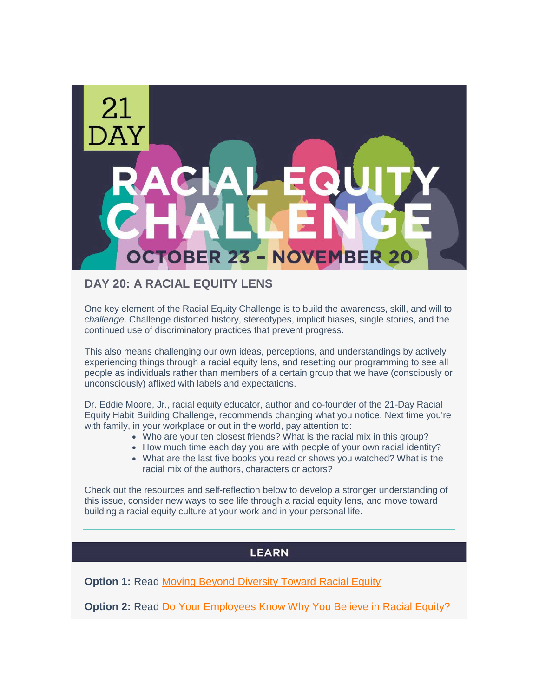

# **DAY 20: A RACIAL EQUITY LENS**

One key element of the Racial Equity Challenge is to build the awareness, skill, and will to *challenge*. Challenge distorted history, stereotypes, implicit biases, single stories, and the continued use of discriminatory practices that prevent progress.

This also means challenging our own ideas, perceptions, and understandings by actively experiencing things through a racial equity lens, and resetting our programming to see all people as individuals rather than members of a certain group that we have (consciously or unconsciously) affixed with labels and expectations.

Dr. Eddie Moore, Jr., racial equity educator, author and co-founder of the 21-Day Racial Equity Habit Building Challenge, recommends changing what you notice. Next time you're with family, in your workplace or out in the world, pay attention to:

- Who are your ten closest friends? What is the racial mix in this group?
- How much time each day you are with people of your own racial identity?
- What are the last five books you read or shows you watched? What is the racial mix of the authors, characters or actors?

Check out the resources and self-reflection below to develop a stronger understanding of this issue, consider new ways to see life through a racial equity lens, and move toward building a racial equity culture at your work and in your personal life.

## **LEARN**

**Option 1:** Read [Moving Beyond Diversity Toward Racial Equity](http://r20.rs6.net/tn.jsp?f=0016VxoM5M0CSrnuKYkv-z7oOt0Np8dDzMn_20kMSeq5LhtnoY8BNRth5YCnuyVXOsYEqrclrEeEuPMsmIo9hR16XNrJpBXQxe5tN4MHvXyDYv7zvKlcQg07Lu25G-psUxIBHfvSUnD2JqKP-xLOmG2Z22JfOf38vRwTsCcSXGUyR5coWHL0zQEgJY9yVKlvPTevJhPU91xog0HjuEla0hf5Q==&c=f6C2FxI735DsHeFkN_FC5fkFC1LtQ5vAuq8VKs-9bafJdYS1AN-9WQ==&ch=7_tWxVF8Lol9Kr8XqVW7j4y_cnYjWg_3TVfpjJyfoU9KNMwbJxpBlg==)

**Option 2:** Read [Do Your Employees Know Why You Believe in Racial Equity?](http://r20.rs6.net/tn.jsp?f=0016VxoM5M0CSrnuKYkv-z7oOt0Np8dDzMn_20kMSeq5LhtnoY8BNRth5YCnuyVXOsYqk642-pKA0uuDKcuoMni78nxxM_XGchRb1uj9y97p9OgkWQpUkW-MRGjw4LcSiYBmZKKYEmu6E3MGEIZyLG-cs33dlt1RoZBZLGrAX0s7s3eAnsVfbLUUitwayj-QWN4YpIioECVVhN1Dmkev_nuQG7yUh5C-w8icC0M8zePVLmRJ7e0FVQ-kTHBJmQnewPu7h7YN8iPUgZGRtx4ymjnuZyTkypB_DxqEaA61zag0EGtsbUtNB4VhBzaU4apPEILbZzrCdMEgMK-qrr1yo8Ajhutv-PWmioeKRYA_JGpsvA=&c=f6C2FxI735DsHeFkN_FC5fkFC1LtQ5vAuq8VKs-9bafJdYS1AN-9WQ==&ch=7_tWxVF8Lol9Kr8XqVW7j4y_cnYjWg_3TVfpjJyfoU9KNMwbJxpBlg==)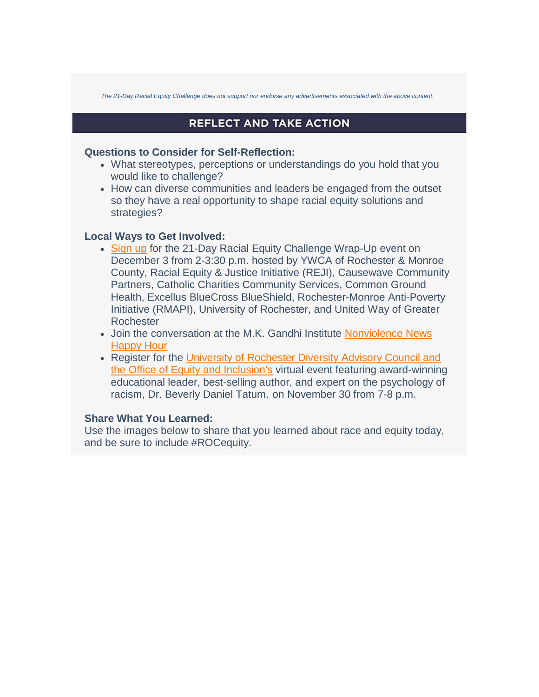*The 21-Day Racial Equity Challenge does not support nor endorse any advertisements associated with the above content.* 

## **REFLECT AND TAKE ACTION**

#### **Questions to Consider for Self-Reflection:**

- What stereotypes, perceptions or understandings do you hold that you would like to challenge?
- How can diverse communities and leaders be engaged from the outset so they have a real opportunity to shape racial equity solutions and strategies?

### **Local Ways to Get Involved:**

- [Sign up](http://r20.rs6.net/tn.jsp?f=0016VxoM5M0CSrnuKYkv-z7oOt0Np8dDzMn_20kMSeq5LhtnoY8BNRth9K-BKjQTpR0vz5YiVDieAk7-MfxgonC-tiG2EtEaroArUp6WYXonUYZNvsHDgq1dBwBZM20jqXiD0VMH_dFkhRkDYBCnrC-jm8iEUnVDFtcTEv-757CJYXUPKYTxStB8NGRUTkeXMteJIf_GNRGhJ4=&c=f6C2FxI735DsHeFkN_FC5fkFC1LtQ5vAuq8VKs-9bafJdYS1AN-9WQ==&ch=7_tWxVF8Lol9Kr8XqVW7j4y_cnYjWg_3TVfpjJyfoU9KNMwbJxpBlg==) for the 21-Day Racial Equity Challenge Wrap-Up event on December 3 from 2-3:30 p.m. hosted by YWCA of Rochester & Monroe County, Racial Equity & Justice Initiative (REJI), Causewave Community Partners, Catholic Charities Community Services, Common Ground Health, Excellus BlueCross BlueShield, Rochester-Monroe Anti-Poverty Initiative (RMAPI), University of Rochester, and United Way of Greater Rochester
- Join the conversation at the M.K. Gandhi Institute Nonviolence News [Happy Hour](http://r20.rs6.net/tn.jsp?f=0016VxoM5M0CSrnuKYkv-z7oOt0Np8dDzMn_20kMSeq5LhtnoY8BNRth5YCnuyVXOsYAywxetsRe_HFpBdPtekVAiSKtsrYVC5_Ocd0_o0TI-F6s2m4nQtuPNWR-w9X8UEbU0nnChAs91xWbzPsJBCn0Ymwg7hXKkQu4BFQGS4Ee2jcJou-cz-p2y8dCwCJRKRQ_35n18BeXqSLphyWzNZ3vA==&c=f6C2FxI735DsHeFkN_FC5fkFC1LtQ5vAuq8VKs-9bafJdYS1AN-9WQ==&ch=7_tWxVF8Lol9Kr8XqVW7j4y_cnYjWg_3TVfpjJyfoU9KNMwbJxpBlg==)
- Register for the [University of Rochester Diversity Advisory Council](http://r20.rs6.net/tn.jsp?f=0016VxoM5M0CSrnuKYkv-z7oOt0Np8dDzMn_20kMSeq5LhtnoY8BNRth5YCnuyVXOsYimdI-ri9utBeB0utcVBqr1L8dtD99oedHpk26tFNXV5yLEwqIlRc7-yepu_v72P8teQzYKIVGkszfKM3de2FrkVagu2x_zNzOAHFWXxa3lfKstac-13M_7gFHRztXZXMsbVpFWylepRsxqeasnBtY4ozv_S3hD5h2OZp3v4tPiC56HXwPEsbXnRTiePD9B5jK495fFltTAkiSsX-Af3BuHREGLDTgkfGFjrIS6h8xWwHZMsgdqCp4QBzPoOteMBV2YkftzysLIU=&c=f6C2FxI735DsHeFkN_FC5fkFC1LtQ5vAuq8VKs-9bafJdYS1AN-9WQ==&ch=7_tWxVF8Lol9Kr8XqVW7j4y_cnYjWg_3TVfpjJyfoU9KNMwbJxpBlg==) and the [Office of Equity and Inclusion's](http://r20.rs6.net/tn.jsp?f=0016VxoM5M0CSrnuKYkv-z7oOt0Np8dDzMn_20kMSeq5LhtnoY8BNRth5YCnuyVXOsYimdI-ri9utBeB0utcVBqr1L8dtD99oedHpk26tFNXV5yLEwqIlRc7-yepu_v72P8teQzYKIVGkszfKM3de2FrkVagu2x_zNzOAHFWXxa3lfKstac-13M_7gFHRztXZXMsbVpFWylepRsxqeasnBtY4ozv_S3hD5h2OZp3v4tPiC56HXwPEsbXnRTiePD9B5jK495fFltTAkiSsX-Af3BuHREGLDTgkfGFjrIS6h8xWwHZMsgdqCp4QBzPoOteMBV2YkftzysLIU=&c=f6C2FxI735DsHeFkN_FC5fkFC1LtQ5vAuq8VKs-9bafJdYS1AN-9WQ==&ch=7_tWxVF8Lol9Kr8XqVW7j4y_cnYjWg_3TVfpjJyfoU9KNMwbJxpBlg==) virtual event featuring award-winning educational leader, best-selling author, and expert on the psychology of racism, Dr. Beverly Daniel Tatum, on November 30 from 7-8 p.m.

### **Share What You Learned:**

Use the images below to share that you learned about race and equity today, and be sure to include #ROCequity.